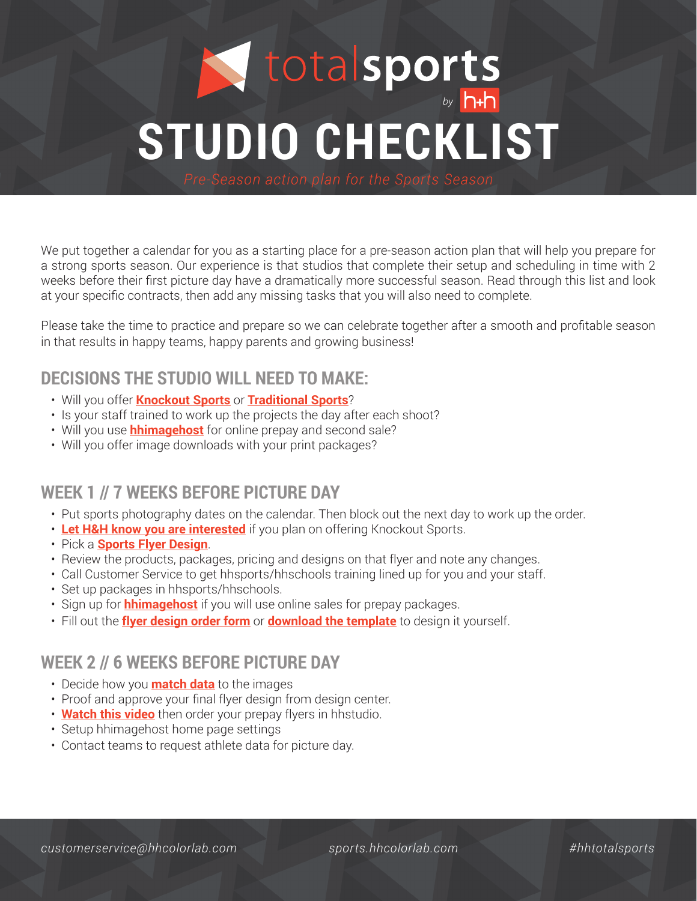# **STUDIO CHECKLIST**

We put together a calendar for you as a starting place for a pre-season action plan that will help you prepare for a strong sports season. Our experience is that studios that complete their setup and scheduling in time with 2 weeks before their first picture day have a dramatically more successful season. Read through this list and look at your specific contracts, then add any missing tasks that you will also need to complete.

Please take the time to practice and prepare so we can celebrate together after a smooth and profitable season in that results in happy teams, happy parents and growing business!

### **DECISIONS THE STUDIO WILL NEED TO MAKE:**

- Will you offer **Knockout Sports** or **Traditional Sports**?
- Is your staff trained to work up the projects the day after each shoot?
- Will you use **hhimagehost** for online prepay and second sale?
- Will you offer image downloads with your print packages?

# **WEEK 1 // 7 WEEKS BEFORE PICTURE DAY**

- Put sports photography dates on the calendar. Then block out the next day to work up the order.
- **Let H&H know you are interested** if you plan on offering Knockout Sports.
- Pick a **Sports Flyer Design**.
- Review the products, packages, pricing and designs on that flyer and note any changes.
- Call Customer Service to get hhsports/hhschools training lined up for you and your staff.
- Set up packages in hhsports/hhschools.
- Sign up for **hhimagehost** if you will use online sales for prepay packages.
- Fill out the **flyer design order form** or **download the template** to design it yourself.

### **WEEK 2 // 6 WEEKS BEFORE PICTURE DAY**

- Decide how you **match data** to the images
- Proof and approve your final flyer design from design center.
- **Watch this video** then order your prepay flyers in hhstudio.
- Setup hhimagehost home page settings
- Contact teams to request athlete data for picture day.